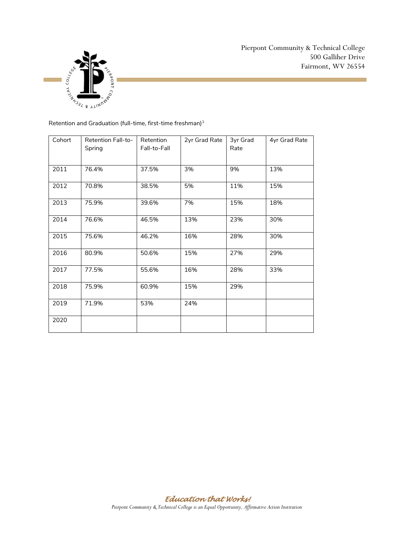Pierpont Community & Technical College 500 Galliher Drive Fairmont, WV 26554



| Cohort | <b>Retention Fall-to-</b> | Retention    | 2yr Grad Rate | 3yr Grad | 4yr Grad Rate |
|--------|---------------------------|--------------|---------------|----------|---------------|
|        | Spring                    | Fall-to-Fall |               | Rate     |               |
| 2011   | 76.4%                     | 37.5%        | 3%            | 9%       | 13%           |
|        |                           |              |               |          |               |
| 2012   | 70.8%                     | 38.5%        | 5%            | 11%      | 15%           |
| 2013   | 75.9%                     | 39.6%        | 7%            | 15%      | 18%           |
| 2014   | 76.6%                     | 46.5%        | 13%           | 23%      | 30%           |
| 2015   | 75.6%                     | 46.2%        | 16%           | 28%      | 30%           |
| 2016   | 80.9%                     | 50.6%        | 15%           | 27%      | 29%           |
| 2017   | 77.5%                     | 55.6%        | 16%           | 28%      | 33%           |
| 2018   | 75.9%                     | 60.9%        | 15%           | 29%      |               |
| 2019   | 71.9%                     | 53%          | 24%           |          |               |
| 2020   |                           |              |               |          |               |